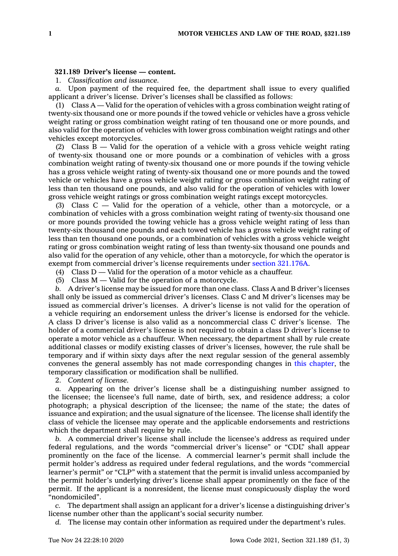## **321.189 Driver's license — content.**

1. *Classification and issuance.*

*a.* Upon payment of the required fee, the department shall issue to every qualified applicant <sup>a</sup> driver's license. Driver's licenses shall be classified as follows:

(1) Class  $A -$  Valid for the operation of vehicles with a gross combination weight rating of twenty-six thousand one or more pounds if the towed vehicle or vehicles have <sup>a</sup> gross vehicle weight rating or gross combination weight rating of ten thousand one or more pounds, and also valid for the operation of vehicles with lower gross combination weight ratings and other vehicles except motorcycles.

(2) Class B — Valid for the operation of <sup>a</sup> vehicle with <sup>a</sup> gross vehicle weight rating of twenty-six thousand one or more pounds or <sup>a</sup> combination of vehicles with <sup>a</sup> gross combination weight rating of twenty-six thousand one or more pounds if the towing vehicle has <sup>a</sup> gross vehicle weight rating of twenty-six thousand one or more pounds and the towed vehicle or vehicles have <sup>a</sup> gross vehicle weight rating or gross combination weight rating of less than ten thousand one pounds, and also valid for the operation of vehicles with lower gross vehicle weight ratings or gross combination weight ratings except motorcycles.

(3) Class C — Valid for the operation of <sup>a</sup> vehicle, other than <sup>a</sup> motorcycle, or <sup>a</sup> combination of vehicles with <sup>a</sup> gross combination weight rating of twenty-six thousand one or more pounds provided the towing vehicle has <sup>a</sup> gross vehicle weight rating of less than twenty-six thousand one pounds and each towed vehicle has <sup>a</sup> gross vehicle weight rating of less than ten thousand one pounds, or <sup>a</sup> combination of vehicles with <sup>a</sup> gross vehicle weight rating or gross combination weight rating of less than twenty-six thousand one pounds and also valid for the operation of any vehicle, other than <sup>a</sup> motorcycle, for which the operator is exempt from commercial driver's license requirements under section [321.176A](https://www.legis.iowa.gov/docs/code/321.176A.pdf).

(4) Class  $D -$  Valid for the operation of a motor vehicle as a chauffeur.

(5) Class M — Valid for the operation of <sup>a</sup> motorcycle.

*b.* A driver's license may be issued for more than one class. Class A and B driver's licenses shall only be issued as commercial driver's licenses. Class C and M driver's licenses may be issued as commercial driver's licenses. A driver's license is not valid for the operation of <sup>a</sup> vehicle requiring an endorsement unless the driver's license is endorsed for the vehicle. A class D driver's license is also valid as <sup>a</sup> noncommercial class C driver's license. The holder of <sup>a</sup> commercial driver's license is not required to obtain <sup>a</sup> class D driver's license to operate <sup>a</sup> motor vehicle as <sup>a</sup> chauffeur. When necessary, the department shall by rule create additional classes or modify existing classes of driver's licenses, however, the rule shall be temporary and if within sixty days after the next regular session of the general assembly convenes the general assembly has not made corresponding changes in this [chapter](https://www.legis.iowa.gov/docs/code//321.pdf), the temporary classification or modification shall be nullified.

2. *Content of license.*

*a.* Appearing on the driver's license shall be <sup>a</sup> distinguishing number assigned to the licensee; the licensee's full name, date of birth, sex, and residence address; <sup>a</sup> color photograph; <sup>a</sup> physical description of the licensee; the name of the state; the dates of issuance and expiration; and the usual signature of the licensee. The license shall identify the class of vehicle the licensee may operate and the applicable endorsements and restrictions which the department shall require by rule.

*b.* A commercial driver's license shall include the licensee's address as required under federal regulations, and the words "commercial driver's license" or "CDL" shall appear prominently on the face of the license. A commercial learner's permit shall include the permit holder's address as required under federal regulations, and the words "commercial learner's permit" or "CLP" with <sup>a</sup> statement that the permit is invalid unless accompanied by the permit holder's underlying driver's license shall appear prominently on the face of the permit. If the applicant is <sup>a</sup> nonresident, the license must conspicuously display the word "nondomiciled".

*c.* The department shall assign an applicant for <sup>a</sup> driver's license <sup>a</sup> distinguishing driver's license number other than the applicant's social security number.

*d.* The license may contain other information as required under the department's rules.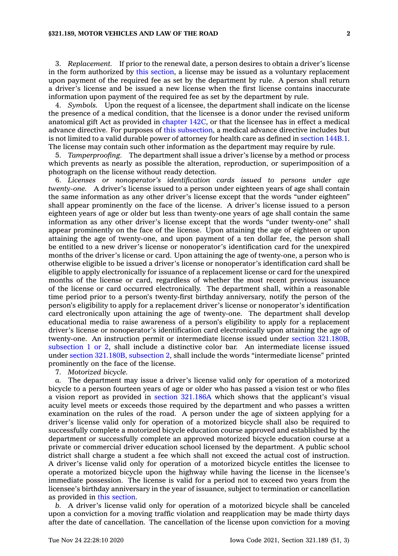## **§321.189, MOTOR VEHICLES AND LAW OF THE ROAD 2**

3. *Replacement.* If prior to the renewal date, <sup>a</sup> person desires to obtain <sup>a</sup> driver's license in the form authorized by this [section](https://www.legis.iowa.gov/docs/code/321.189.pdf), <sup>a</sup> license may be issued as <sup>a</sup> voluntary replacement upon payment of the required fee as set by the department by rule. A person shall return <sup>a</sup> driver's license and be issued <sup>a</sup> new license when the first license contains inaccurate information upon payment of the required fee as set by the department by rule.

4. *Symbols.* Upon the request of <sup>a</sup> licensee, the department shall indicate on the license the presence of <sup>a</sup> medical condition, that the licensee is <sup>a</sup> donor under the revised uniform anatomical gift Act as provided in [chapter](https://www.legis.iowa.gov/docs/code//142C.pdf) 142C, or that the licensee has in effect <sup>a</sup> medical advance directive. For purposes of this [subsection](https://www.legis.iowa.gov/docs/code/321.189.pdf), <sup>a</sup> medical advance directive includes but is not limited to <sup>a</sup> valid durable power of attorney for health care as defined in [section](https://www.legis.iowa.gov/docs/code/144B.1.pdf) 144B.1. The license may contain such other information as the department may require by rule.

5. *Tamperproofing.* The department shall issue <sup>a</sup> driver's license by <sup>a</sup> method or process which prevents as nearly as possible the alteration, reproduction, or superimposition of <sup>a</sup> photograph on the license without ready detection.

6. *Licenses or nonoperator's identification cards issued to persons under age twenty-one.* A driver's license issued to <sup>a</sup> person under eighteen years of age shall contain the same information as any other driver's license except that the words "under eighteen" shall appear prominently on the face of the license. A driver's license issued to <sup>a</sup> person eighteen years of age or older but less than twenty-one years of age shall contain the same information as any other driver's license except that the words "under twenty-one" shall appear prominently on the face of the license. Upon attaining the age of eighteen or upon attaining the age of twenty-one, and upon payment of <sup>a</sup> ten dollar fee, the person shall be entitled to <sup>a</sup> new driver's license or nonoperator's identification card for the unexpired months of the driver's license or card. Upon attaining the age of twenty-one, <sup>a</sup> person who is otherwise eligible to be issued <sup>a</sup> driver's license or nonoperator's identification card shall be eligible to apply electronically for issuance of <sup>a</sup> replacement license or card for the unexpired months of the license or card, regardless of whether the most recent previous issuance of the license or card occurred electronically. The department shall, within <sup>a</sup> reasonable time period prior to <sup>a</sup> person's twenty-first birthday anniversary, notify the person of the person's eligibility to apply for <sup>a</sup> replacement driver's license or nonoperator's identification card electronically upon attaining the age of twenty-one. The department shall develop educational media to raise awareness of <sup>a</sup> person's eligibility to apply for <sup>a</sup> replacement driver's license or nonoperator's identification card electronically upon attaining the age of twenty-one. An instruction permit or intermediate license issued under section [321.180B,](https://www.legis.iowa.gov/docs/code/321.180B.pdf) [subsection](https://www.legis.iowa.gov/docs/code/321.180B.pdf) 1 or 2, shall include <sup>a</sup> distinctive color bar. An intermediate license issued under section [321.180B,](https://www.legis.iowa.gov/docs/code/321.180B.pdf) subsection 2, shall include the words "intermediate license" printed prominently on the face of the license.

7. *Motorized bicycle.*

*a.* The department may issue <sup>a</sup> driver's license valid only for operation of <sup>a</sup> motorized bicycle to <sup>a</sup> person fourteen years of age or older who has passed <sup>a</sup> vision test or who files <sup>a</sup> vision report as provided in section [321.186A](https://www.legis.iowa.gov/docs/code/321.186A.pdf) which shows that the applicant's visual acuity level meets or exceeds those required by the department and who passes <sup>a</sup> written examination on the rules of the road. A person under the age of sixteen applying for <sup>a</sup> driver's license valid only for operation of <sup>a</sup> motorized bicycle shall also be required to successfully complete <sup>a</sup> motorized bicycle education course approved and established by the department or successfully complete an approved motorized bicycle education course at <sup>a</sup> private or commercial driver education school licensed by the department. A public school district shall charge <sup>a</sup> student <sup>a</sup> fee which shall not exceed the actual cost of instruction. A driver's license valid only for operation of <sup>a</sup> motorized bicycle entitles the licensee to operate <sup>a</sup> motorized bicycle upon the highway while having the license in the licensee's immediate possession. The license is valid for <sup>a</sup> period not to exceed two years from the licensee's birthday anniversary in the year of issuance, subject to termination or cancellation as provided in this [section](https://www.legis.iowa.gov/docs/code/321.189.pdf).

*b.* A driver's license valid only for operation of <sup>a</sup> motorized bicycle shall be canceled upon <sup>a</sup> conviction for <sup>a</sup> moving traffic violation and reapplication may be made thirty days after the date of cancellation. The cancellation of the license upon conviction for <sup>a</sup> moving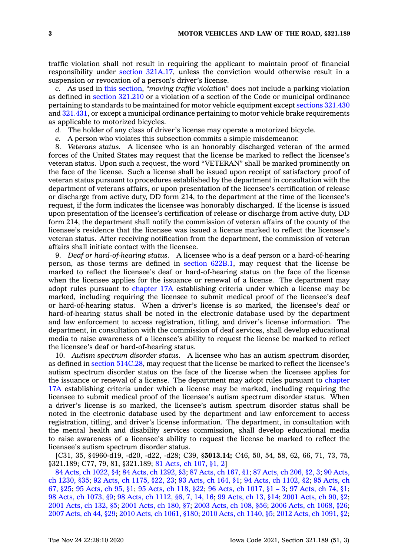traffic violation shall not result in requiring the applicant to maintain proof of financial responsibility under section [321A.17](https://www.legis.iowa.gov/docs/code/321A.17.pdf), unless the conviction would otherwise result in <sup>a</sup> suspension or revocation of <sup>a</sup> person's driver's license.

*c.* As used in this [section](https://www.legis.iowa.gov/docs/code/321.189.pdf), *"moving traffic violation"* does not include <sup>a</sup> parking violation as defined in section [321.210](https://www.legis.iowa.gov/docs/code/321.210.pdf) or <sup>a</sup> violation of <sup>a</sup> section of the Code or municipal ordinance pertaining to standards to be maintained for motor vehicle equipment except [sections](https://www.legis.iowa.gov/docs/code/321.430.pdf) 321.430 and [321.431](https://www.legis.iowa.gov/docs/code/321.431.pdf), or except <sup>a</sup> municipal ordinance pertaining to motor vehicle brake requirements as applicable to motorized bicycles.

- *d.* The holder of any class of driver's license may operate <sup>a</sup> motorized bicycle.
- *e.* A person who violates this subsection commits <sup>a</sup> simple misdemeanor.

8. *Veterans status.* A licensee who is an honorably discharged veteran of the armed forces of the United States may request that the license be marked to reflect the licensee's veteran status. Upon such <sup>a</sup> request, the word "VETERAN" shall be marked prominently on the face of the license. Such <sup>a</sup> license shall be issued upon receipt of satisfactory proof of veteran status pursuant to procedures established by the department in consultation with the department of veterans affairs, or upon presentation of the licensee's certification of release or discharge from active duty, DD form 214, to the department at the time of the licensee's request, if the form indicates the licensee was honorably discharged. If the license is issued upon presentation of the licensee's certification of release or discharge from active duty, DD form 214, the department shall notify the commission of veteran affairs of the county of the licensee's residence that the licensee was issued <sup>a</sup> license marked to reflect the licensee's veteran status. After receiving notification from the department, the commission of veteran affairs shall initiate contact with the licensee.

9. *Deaf or hard-of-hearing status.* A licensee who is <sup>a</sup> deaf person or <sup>a</sup> hard-of-hearing person, as those terms are defined in section [622B.1](https://www.legis.iowa.gov/docs/code/622B.1.pdf), may request that the license be marked to reflect the licensee's deaf or hard-of-hearing status on the face of the license when the licensee applies for the issuance or renewal of <sup>a</sup> license. The department may adopt rules pursuant to [chapter](https://www.legis.iowa.gov/docs/code//17A.pdf) 17A establishing criteria under which <sup>a</sup> license may be marked, including requiring the licensee to submit medical proof of the licensee's deaf or hard-of-hearing status. When <sup>a</sup> driver's license is so marked, the licensee's deaf or hard-of-hearing status shall be noted in the electronic database used by the department and law enforcement to access registration, titling, and driver's license information. The department, in consultation with the commission of deaf services, shall develop educational media to raise awareness of <sup>a</sup> licensee's ability to request the license be marked to reflect the licensee's deaf or hard-of-hearing status.

10. *Autism spectrum disorder status.* A licensee who has an autism spectrum disorder, as defined in section [514C.28](https://www.legis.iowa.gov/docs/code/514C.28.pdf), may request that the license be marked to reflect the licensee's autism spectrum disorder status on the face of the license when the licensee applies for the issuance or renewal of <sup>a</sup> license. The department may adopt rules pursuant to [chapter](https://www.legis.iowa.gov/docs/code//17A.pdf) [17A](https://www.legis.iowa.gov/docs/code//17A.pdf) establishing criteria under which <sup>a</sup> license may be marked, including requiring the licensee to submit medical proof of the licensee's autism spectrum disorder status. When <sup>a</sup> driver's license is so marked, the licensee's autism spectrum disorder status shall be noted in the electronic database used by the department and law enforcement to access registration, titling, and driver's license information. The department, in consultation with the mental health and disability services commission, shall develop educational media to raise awareness of <sup>a</sup> licensee's ability to request the license be marked to reflect the licensee's autism spectrum disorder status.

[C31, 35, §4960-d19, -d20, -d22, -d28; C39, §**5013.14;** C46, 50, 54, 58, 62, 66, 71, 73, 75, §321.189; C77, 79, 81, §321.189; 81 [Acts,](https://www.legis.iowa.gov/docs/acts/1981/CH0107.pdf) ch 107, §1, 2]

 Acts, ch [1022,](https://www.legis.iowa.gov/docs/acts/1984/CH1022.pdf) §4; 84 Acts, ch [1292,](https://www.legis.iowa.gov/docs/acts/84/CH1292.pdf) §3; 87 [Acts,](https://www.legis.iowa.gov/docs/acts/87/CH0167.pdf) ch 167, §1; 87 [Acts,](https://www.legis.iowa.gov/docs/acts/87/CH0206.pdf) ch 206, §2, 3; 90 [Acts,](https://www.legis.iowa.gov/docs/acts/90/CH1230.pdf) ch [1230,](https://www.legis.iowa.gov/docs/acts/90/CH1230.pdf) §35; 92 Acts, ch [1175,](https://www.legis.iowa.gov/docs/acts/92/CH1175.pdf) §22, 23; 93 [Acts,](https://www.legis.iowa.gov/docs/acts/93/CH0164.pdf) ch 164, §1; 94 Acts, ch [1102,](https://www.legis.iowa.gov/docs/acts/94/CH1102.pdf) §2; 95 [Acts,](https://www.legis.iowa.gov/docs/acts/95/CH0067.pdf) ch 67, [§25](https://www.legis.iowa.gov/docs/acts/95/CH0067.pdf); 95 [Acts,](https://www.legis.iowa.gov/docs/acts/95/CH0095.pdf) ch 95, §1; 95 [Acts,](https://www.legis.iowa.gov/docs/acts/95/CH0118.pdf) ch 118, §22; 96 Acts, ch [1017,](https://www.legis.iowa.gov/docs/acts/96/CH1017.pdf) §1 – 3; 97 [Acts,](https://www.legis.iowa.gov/docs/acts/97/CH0074.pdf) ch 74, §1; Acts, ch [1073,](https://www.legis.iowa.gov/docs/acts/98/CH1073.pdf) §9; 98 Acts, ch [1112,](https://www.legis.iowa.gov/docs/acts/98/CH1112.pdf) §6, 7, 14, 16; 99 [Acts,](https://www.legis.iowa.gov/docs/acts/99/CH0013.pdf) ch 13, §14; 2001 [Acts,](https://www.legis.iowa.gov/docs/acts/2001/CH0090.pdf) ch 90, §2; [Acts,](https://www.legis.iowa.gov/docs/acts/2001/CH0132.pdf) ch 132, §5; 2001 [Acts,](https://www.legis.iowa.gov/docs/acts/2001/CH0180.pdf) ch 180, §7; 2003 [Acts,](https://www.legis.iowa.gov/docs/acts/2003/CH0108.pdf) ch 108, §56; 2006 Acts, ch [1068,](https://www.legis.iowa.gov/docs/acts/2006/CH1068.pdf) §26; [Acts,](https://www.legis.iowa.gov/docs/acts/2007/CH0044.pdf) ch 44, §29; 2010 Acts, ch [1061,](https://www.legis.iowa.gov/docs/acts/2010/CH1061.pdf) §180; 2010 Acts, ch [1140,](https://www.legis.iowa.gov/docs/acts/2010/CH1140.pdf) §5; 2012 Acts, ch [1091,](https://www.legis.iowa.gov/docs/acts/2012/CH1091.pdf) §2;